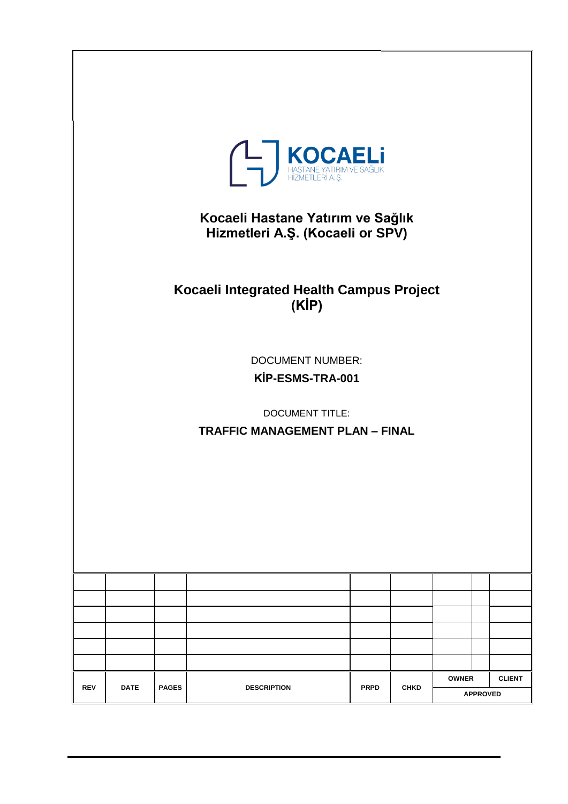|            | <b>KOCAELI</b><br>HASTANE YATIRIM VE SAĞLIK<br>HİZMETLERİ A.Ş.<br>Kocaeli Hastane Yatırım ve Sağlık<br>Hizmetleri A.Ş. (Kocaeli or SPV) |              |                                                   |             |             |              |                 |               |
|------------|-----------------------------------------------------------------------------------------------------------------------------------------|--------------|---------------------------------------------------|-------------|-------------|--------------|-----------------|---------------|
|            |                                                                                                                                         |              | Kocaeli Integrated Health Campus Project<br>(KIP) |             |             |              |                 |               |
|            | <b>DOCUMENT NUMBER:</b><br>KİP-ESMS-TRA-001<br><b>DOCUMENT TITLE:</b><br><b>TRAFFIC MANAGEMENT PLAN - FINAL</b>                         |              |                                                   |             |             |              |                 |               |
|            |                                                                                                                                         |              |                                                   |             |             |              |                 |               |
|            |                                                                                                                                         |              |                                                   |             |             |              |                 |               |
|            |                                                                                                                                         |              |                                                   |             |             |              |                 |               |
|            |                                                                                                                                         |              |                                                   |             |             |              |                 |               |
|            |                                                                                                                                         |              |                                                   |             |             |              |                 |               |
|            |                                                                                                                                         |              |                                                   |             |             |              |                 |               |
| <b>REV</b> | <b>DATE</b>                                                                                                                             | <b>PAGES</b> | <b>DESCRIPTION</b>                                | <b>PRPD</b> | <b>CHKD</b> | <b>OWNER</b> | <b>APPROVED</b> | <b>CLIENT</b> |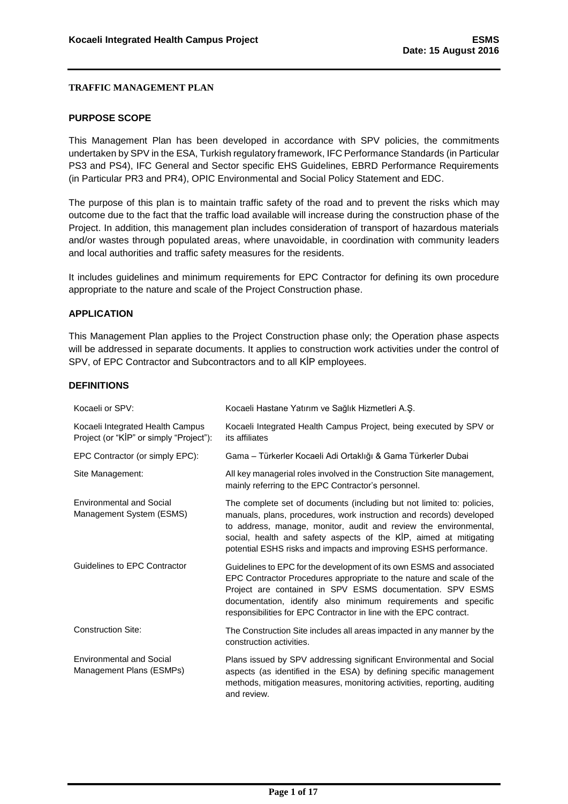#### <span id="page-1-0"></span>**PURPOSE SCOPE**

This Management Plan has been developed in accordance with SPV policies, the commitments undertaken by SPV in the ESA, Turkish regulatory framework, IFC Performance Standards (in Particular PS3 and PS4), IFC General and Sector specific EHS Guidelines, EBRD Performance Requirements (in Particular PR3 and PR4), OPIC Environmental and Social Policy Statement and EDC.

The purpose of this plan is to maintain traffic safety of the road and to prevent the risks which may outcome due to the fact that the traffic load available will increase during the construction phase of the Project. In addition, this management plan includes consideration of transport of hazardous materials and/or wastes through populated areas, where unavoidable, in coordination with community leaders and local authorities and traffic safety measures for the residents.

It includes guidelines and minimum requirements for EPC Contractor for defining its own procedure appropriate to the nature and scale of the Project Construction phase.

#### <span id="page-1-1"></span>**APPLICATION**

This Management Plan applies to the Project Construction phase only; the Operation phase aspects will be addressed in separate documents. It applies to construction work activities under the control of SPV, of EPC Contractor and Subcontractors and to all KİP employees.

#### <span id="page-1-2"></span>**DEFINITIONS**

| Kocaeli or SPV:                                                             | Kocaeli Hastane Yatırım ve Sağlık Hizmetleri A.Ş.                                                                                                                                                                                                                                                                                                          |
|-----------------------------------------------------------------------------|------------------------------------------------------------------------------------------------------------------------------------------------------------------------------------------------------------------------------------------------------------------------------------------------------------------------------------------------------------|
| Kocaeli Integrated Health Campus<br>Project (or "KIP" or simply "Project"): | Kocaeli Integrated Health Campus Project, being executed by SPV or<br>its affiliates                                                                                                                                                                                                                                                                       |
| EPC Contractor (or simply EPC):                                             | Gama - Türkerler Kocaeli Adi Ortaklığı & Gama Türkerler Dubai                                                                                                                                                                                                                                                                                              |
| Site Management:                                                            | All key managerial roles involved in the Construction Site management,<br>mainly referring to the EPC Contractor's personnel.                                                                                                                                                                                                                              |
| <b>Environmental and Social</b><br>Management System (ESMS)                 | The complete set of documents (including but not limited to: policies,<br>manuals, plans, procedures, work instruction and records) developed<br>to address, manage, monitor, audit and review the environmental,<br>social, health and safety aspects of the KİP, aimed at mitigating<br>potential ESHS risks and impacts and improving ESHS performance. |
| Guidelines to EPC Contractor                                                | Guidelines to EPC for the development of its own ESMS and associated<br>EPC Contractor Procedures appropriate to the nature and scale of the<br>Project are contained in SPV ESMS documentation. SPV ESMS<br>documentation, identify also minimum requirements and specific<br>responsibilities for EPC Contractor in line with the EPC contract.          |
| <b>Construction Site:</b>                                                   | The Construction Site includes all areas impacted in any manner by the<br>construction activities.                                                                                                                                                                                                                                                         |
| <b>Environmental and Social</b><br>Management Plans (ESMPs)                 | Plans issued by SPV addressing significant Environmental and Social<br>aspects (as identified in the ESA) by defining specific management<br>methods, mitigation measures, monitoring activities, reporting, auditing<br>and review.                                                                                                                       |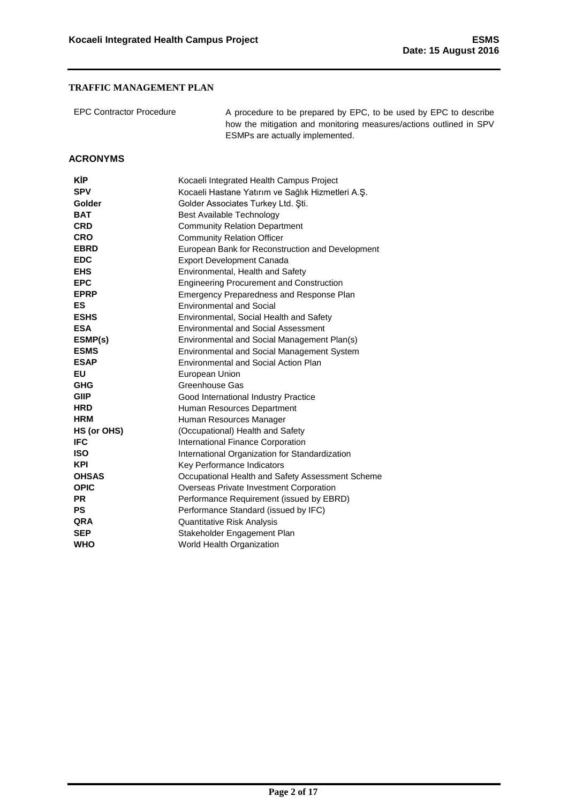| <b>EPC Contractor Procedure</b> | A procedure to be prepared by EPC, to be used by EPC to describe<br>how the mitigation and monitoring measures/actions outlined in SPV<br>ESMPs are actually implemented. |
|---------------------------------|---------------------------------------------------------------------------------------------------------------------------------------------------------------------------|
|---------------------------------|---------------------------------------------------------------------------------------------------------------------------------------------------------------------------|

#### <span id="page-2-0"></span>**ACRONYMS**

| KİP          | Kocaeli Integrated Health Campus Project          |
|--------------|---------------------------------------------------|
| <b>SPV</b>   | Kocaeli Hastane Yatırım ve Sağlık Hizmetleri A.Ş. |
| Golder       | Golder Associates Turkey Ltd. Sti.                |
| <b>BAT</b>   | <b>Best Available Technology</b>                  |
| <b>CRD</b>   | <b>Community Relation Department</b>              |
| <b>CRO</b>   | <b>Community Relation Officer</b>                 |
| <b>EBRD</b>  | European Bank for Reconstruction and Development  |
| <b>EDC</b>   | <b>Export Development Canada</b>                  |
| <b>EHS</b>   | Environmental, Health and Safety                  |
| <b>EPC</b>   | <b>Engineering Procurement and Construction</b>   |
| <b>EPRP</b>  | Emergency Preparedness and Response Plan          |
| ES           | <b>Environmental and Social</b>                   |
| <b>ESHS</b>  | Environmental, Social Health and Safety           |
| <b>ESA</b>   | <b>Environmental and Social Assessment</b>        |
| ESMP(s)      | Environmental and Social Management Plan(s)       |
| <b>ESMS</b>  | Environmental and Social Management System        |
| <b>ESAP</b>  | Environmental and Social Action Plan              |
| EU           | European Union                                    |
| <b>GHG</b>   | Greenhouse Gas                                    |
| <b>GIIP</b>  | Good International Industry Practice              |
| <b>HRD</b>   | Human Resources Department                        |
| <b>HRM</b>   | Human Resources Manager                           |
| HS (or OHS)  | (Occupational) Health and Safety                  |
| <b>IFC</b>   | International Finance Corporation                 |
| <b>ISO</b>   | International Organization for Standardization    |
| <b>KPI</b>   | Key Performance Indicators                        |
| <b>OHSAS</b> | Occupational Health and Safety Assessment Scheme  |
| <b>OPIC</b>  | Overseas Private Investment Corporation           |
| <b>PR</b>    | Performance Requirement (issued by EBRD)          |
| PS           | Performance Standard (issued by IFC)              |
| QRA          | <b>Quantitative Risk Analysis</b>                 |
| <b>SEP</b>   | Stakeholder Engagement Plan                       |
| <b>WHO</b>   | <b>World Health Organization</b>                  |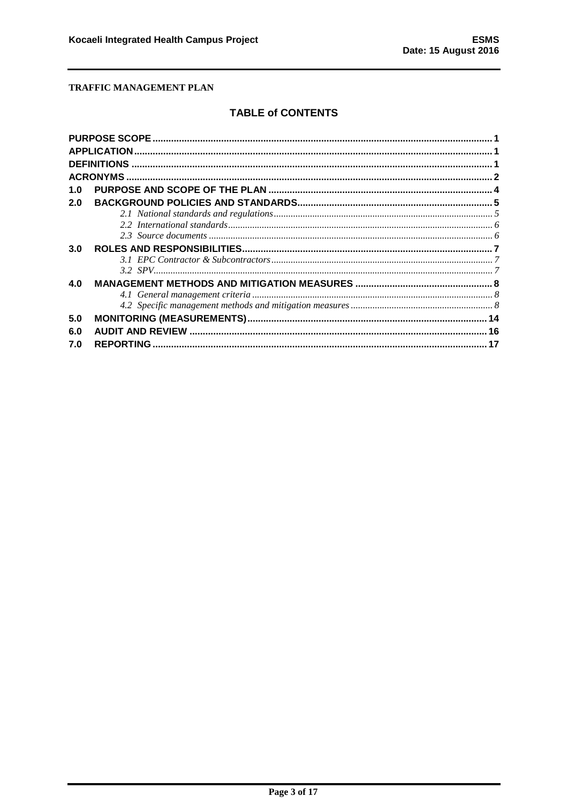# **TABLE of CONTENTS**

| 1.0 |  |
|-----|--|
| 2.0 |  |
|     |  |
|     |  |
|     |  |
| 3.0 |  |
|     |  |
|     |  |
| 4.0 |  |
|     |  |
|     |  |
| 5.0 |  |
| 6.0 |  |
| 7.0 |  |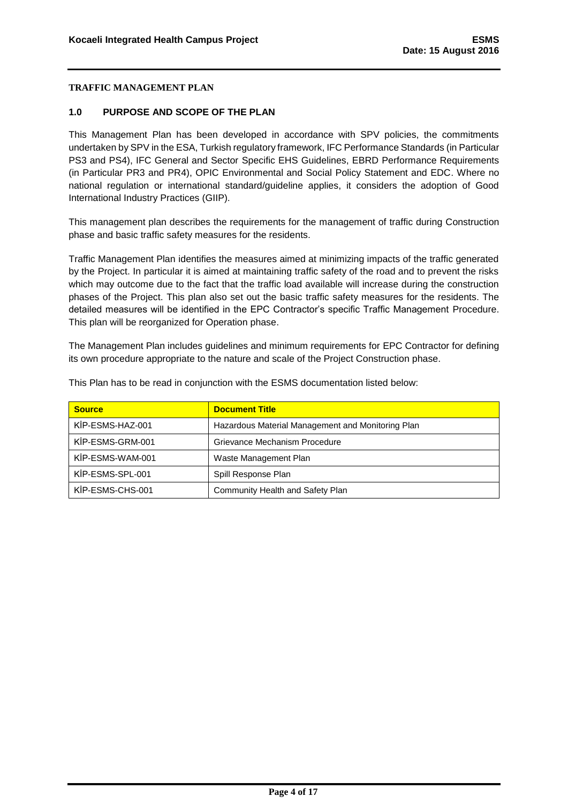#### <span id="page-4-0"></span>**1.0 PURPOSE AND SCOPE OF THE PLAN**

This Management Plan has been developed in accordance with SPV policies, the commitments undertaken by SPV in the ESA, Turkish regulatory framework, IFC Performance Standards (in Particular PS3 and PS4), IFC General and Sector Specific EHS Guidelines, EBRD Performance Requirements (in Particular PR3 and PR4), OPIC Environmental and Social Policy Statement and EDC. Where no national regulation or international standard/guideline applies, it considers the adoption of Good International Industry Practices (GIIP).

This management plan describes the requirements for the management of traffic during Construction phase and basic traffic safety measures for the residents.

Traffic Management Plan identifies the measures aimed at minimizing impacts of the traffic generated by the Project. In particular it is aimed at maintaining traffic safety of the road and to prevent the risks which may outcome due to the fact that the traffic load available will increase during the construction phases of the Project. This plan also set out the basic traffic safety measures for the residents. The detailed measures will be identified in the EPC Contractor's specific Traffic Management Procedure. This plan will be reorganized for Operation phase.

The Management Plan includes guidelines and minimum requirements for EPC Contractor for defining its own procedure appropriate to the nature and scale of the Project Construction phase.

| <b>Source</b>    | <b>Document Title</b>                             |
|------------------|---------------------------------------------------|
| KİP-ESMS-HAZ-001 | Hazardous Material Management and Monitoring Plan |
| KİP-ESMS-GRM-001 | Grievance Mechanism Procedure                     |
| KİP-ESMS-WAM-001 | Waste Management Plan                             |
| KİP-ESMS-SPL-001 | Spill Response Plan                               |
| KİP-ESMS-CHS-001 | Community Health and Safety Plan                  |

This Plan has to be read in conjunction with the ESMS documentation listed below: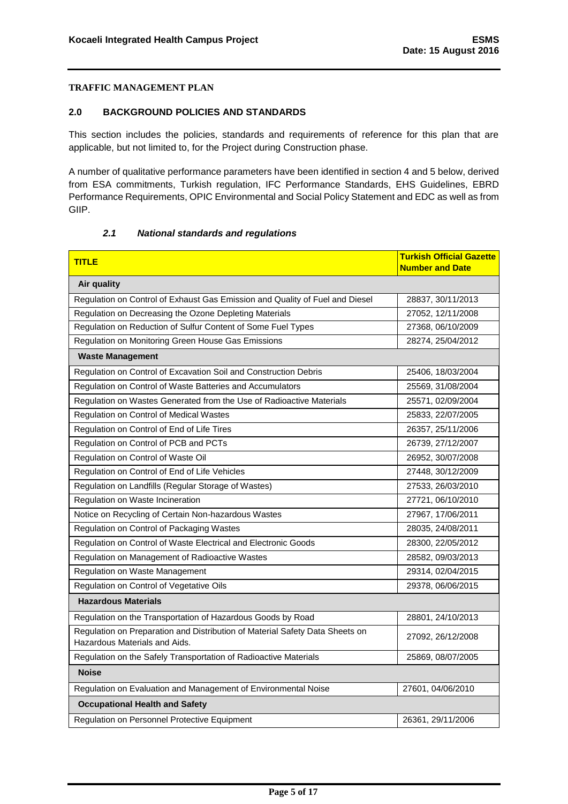#### <span id="page-5-0"></span>**2.0 BACKGROUND POLICIES AND STANDARDS**

This section includes the policies, standards and requirements of reference for this plan that are applicable, but not limited to, for the Project during Construction phase.

A number of qualitative performance parameters have been identified in section 4 and 5 below, derived from ESA commitments, Turkish regulation, IFC Performance Standards, EHS Guidelines, EBRD Performance Requirements, OPIC Environmental and Social Policy Statement and EDC as well as from GIIP.

#### *2.1 National standards and regulations*

<span id="page-5-1"></span>

| <b>TITLE</b>                                                                                                  | <b>Turkish Official Gazette</b><br><b>Number and Date</b> |
|---------------------------------------------------------------------------------------------------------------|-----------------------------------------------------------|
| Air quality                                                                                                   |                                                           |
| Regulation on Control of Exhaust Gas Emission and Quality of Fuel and Diesel                                  | 28837, 30/11/2013                                         |
| Regulation on Decreasing the Ozone Depleting Materials                                                        | 27052, 12/11/2008                                         |
| Regulation on Reduction of Sulfur Content of Some Fuel Types                                                  | 27368, 06/10/2009                                         |
| Regulation on Monitoring Green House Gas Emissions                                                            | 28274, 25/04/2012                                         |
| <b>Waste Management</b>                                                                                       |                                                           |
| Regulation on Control of Excavation Soil and Construction Debris                                              | 25406, 18/03/2004                                         |
| Regulation on Control of Waste Batteries and Accumulators                                                     | 25569, 31/08/2004                                         |
| Regulation on Wastes Generated from the Use of Radioactive Materials                                          | 25571, 02/09/2004                                         |
| Regulation on Control of Medical Wastes                                                                       | 25833, 22/07/2005                                         |
| Regulation on Control of End of Life Tires                                                                    | 26357, 25/11/2006                                         |
| Regulation on Control of PCB and PCTs                                                                         | 26739, 27/12/2007                                         |
| Regulation on Control of Waste Oil                                                                            | 26952, 30/07/2008                                         |
| Regulation on Control of End of Life Vehicles                                                                 | 27448, 30/12/2009                                         |
| Regulation on Landfills (Regular Storage of Wastes)                                                           | 27533, 26/03/2010                                         |
| Regulation on Waste Incineration                                                                              | 27721, 06/10/2010                                         |
| Notice on Recycling of Certain Non-hazardous Wastes                                                           | 27967, 17/06/2011                                         |
| Regulation on Control of Packaging Wastes                                                                     | 28035, 24/08/2011                                         |
| Regulation on Control of Waste Electrical and Electronic Goods                                                | 28300, 22/05/2012                                         |
| Regulation on Management of Radioactive Wastes                                                                | 28582, 09/03/2013                                         |
| Regulation on Waste Management                                                                                | 29314, 02/04/2015                                         |
| Regulation on Control of Vegetative Oils                                                                      | 29378, 06/06/2015                                         |
| <b>Hazardous Materials</b>                                                                                    |                                                           |
| Regulation on the Transportation of Hazardous Goods by Road                                                   | 28801, 24/10/2013                                         |
| Regulation on Preparation and Distribution of Material Safety Data Sheets on<br>Hazardous Materials and Aids. | 27092, 26/12/2008                                         |
| Regulation on the Safely Transportation of Radioactive Materials                                              | 25869, 08/07/2005                                         |
| <b>Noise</b>                                                                                                  |                                                           |
| Regulation on Evaluation and Management of Environmental Noise                                                | 27601, 04/06/2010                                         |
| <b>Occupational Health and Safety</b>                                                                         |                                                           |
| Regulation on Personnel Protective Equipment                                                                  | 26361, 29/11/2006                                         |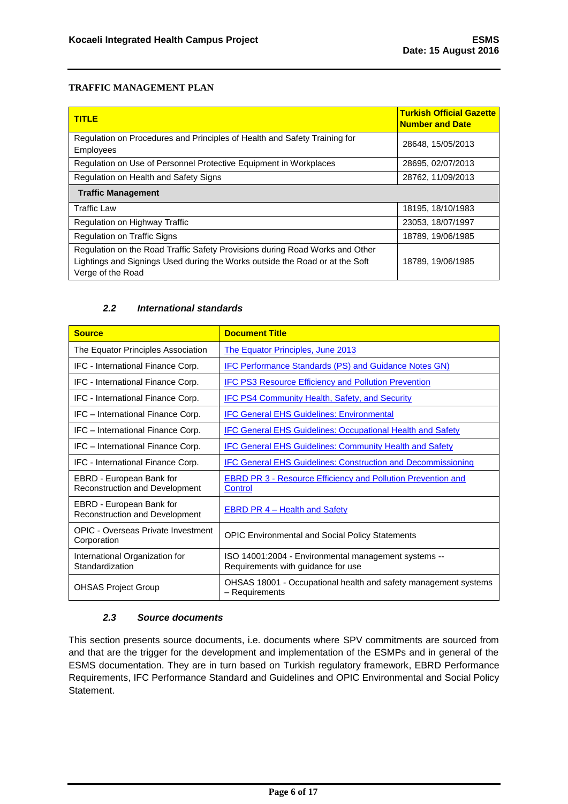| <u>I TITLE</u>                                                                                                                                                                    | <b>Turkish Official Gazette</b><br><b>Number and Date</b> |
|-----------------------------------------------------------------------------------------------------------------------------------------------------------------------------------|-----------------------------------------------------------|
| Regulation on Procedures and Principles of Health and Safety Training for<br><b>Employees</b>                                                                                     | 28648, 15/05/2013                                         |
| Regulation on Use of Personnel Protective Equipment in Workplaces                                                                                                                 | 28695, 02/07/2013                                         |
| Regulation on Health and Safety Signs                                                                                                                                             | 28762, 11/09/2013                                         |
| <b>Traffic Management</b>                                                                                                                                                         |                                                           |
| <b>Traffic Law</b>                                                                                                                                                                | 18195, 18/10/1983                                         |
| Regulation on Highway Traffic                                                                                                                                                     | 23053, 18/07/1997                                         |
| <b>Regulation on Traffic Signs</b>                                                                                                                                                | 18789, 19/06/1985                                         |
| Regulation on the Road Traffic Safety Provisions during Road Works and Other<br>Lightings and Signings Used during the Works outside the Road or at the Soft<br>Verge of the Road | 18789, 19/06/1985                                         |

#### *2.2 International standards*

<span id="page-6-0"></span>

| <b>Source</b>                                              | <b>Document Title</b>                                                                      |
|------------------------------------------------------------|--------------------------------------------------------------------------------------------|
| The Equator Principles Association                         | The Equator Principles, June 2013                                                          |
| IFC - International Finance Corp.                          | IFC Performance Standards (PS) and Guidance Notes GN)                                      |
| IFC - International Finance Corp.                          | <b>IFC PS3 Resource Efficiency and Pollution Prevention</b>                                |
| IFC - International Finance Corp.                          | <b>IFC PS4 Community Health, Safety, and Security</b>                                      |
| IFC - International Finance Corp.                          | <b>IFC General EHS Guidelines: Environmental</b>                                           |
| IFC - International Finance Corp.                          | <b>IFC General EHS Guidelines: Occupational Health and Safety</b>                          |
| IFC - International Finance Corp.                          | <b>IFC General EHS Guidelines: Community Health and Safety</b>                             |
| IFC - International Finance Corp.                          | <b>IFC General EHS Guidelines: Construction and Decommissioning</b>                        |
| EBRD - European Bank for<br>Reconstruction and Development | <b>EBRD PR 3 - Resource Efficiency and Pollution Prevention and</b><br>Control             |
| EBRD - European Bank for<br>Reconstruction and Development | <b>EBRD PR 4 – Health and Safety</b>                                                       |
| <b>OPIC - Overseas Private Investment</b><br>Corporation   | <b>OPIC Environmental and Social Policy Statements</b>                                     |
| International Organization for<br>Standardization          | ISO 14001:2004 - Environmental management systems --<br>Requirements with guidance for use |
| <b>OHSAS Project Group</b>                                 | OHSAS 18001 - Occupational health and safety management systems<br>- Requirements          |

# *2.3 Source documents*

<span id="page-6-1"></span>This section presents source documents, i.e. documents where SPV commitments are sourced from and that are the trigger for the development and implementation of the ESMPs and in general of the ESMS documentation. They are in turn based on Turkish regulatory framework, EBRD Performance Requirements, IFC Performance Standard and Guidelines and OPIC Environmental and Social Policy Statement.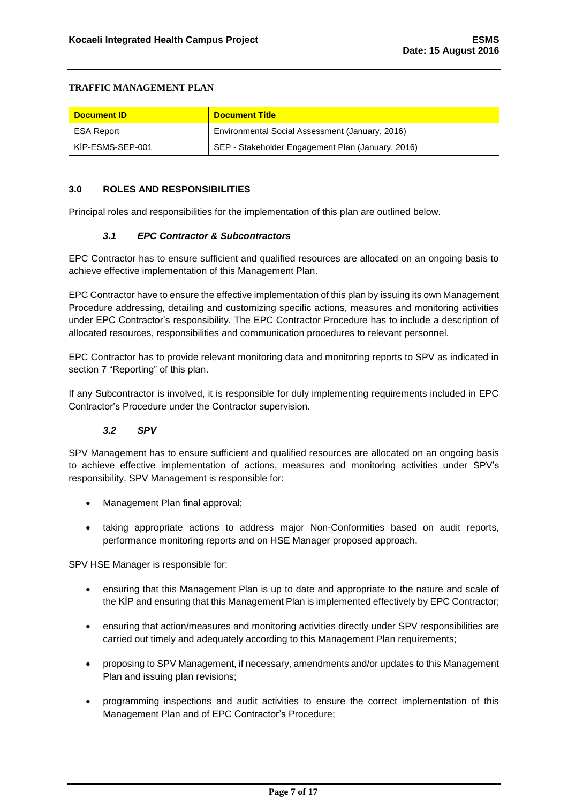| <b>Document ID</b> | <b>Document Title</b>                             |
|--------------------|---------------------------------------------------|
| ESA Report         | Environmental Social Assessment (January, 2016)   |
| KİP-ESMS-SEP-001   | SEP - Stakeholder Engagement Plan (January, 2016) |

#### <span id="page-7-0"></span>**3.0 ROLES AND RESPONSIBILITIES**

Principal roles and responsibilities for the implementation of this plan are outlined below.

#### *3.1 EPC Contractor & Subcontractors*

<span id="page-7-1"></span>EPC Contractor has to ensure sufficient and qualified resources are allocated on an ongoing basis to achieve effective implementation of this Management Plan.

EPC Contractor have to ensure the effective implementation of this plan by issuing its own Management Procedure addressing, detailing and customizing specific actions, measures and monitoring activities under EPC Contractor's responsibility. The EPC Contractor Procedure has to include a description of allocated resources, responsibilities and communication procedures to relevant personnel.

EPC Contractor has to provide relevant monitoring data and monitoring reports to SPV as indicated in section 7 "Reporting" of this plan.

If any Subcontractor is involved, it is responsible for duly implementing requirements included in EPC Contractor's Procedure under the Contractor supervision.

### *3.2 SPV*

<span id="page-7-2"></span>SPV Management has to ensure sufficient and qualified resources are allocated on an ongoing basis to achieve effective implementation of actions, measures and monitoring activities under SPV's responsibility. SPV Management is responsible for:

- Management Plan final approval;
- taking appropriate actions to address major Non-Conformities based on audit reports, performance monitoring reports and on HSE Manager proposed approach.

SPV HSE Manager is responsible for:

- ensuring that this Management Plan is up to date and appropriate to the nature and scale of the KİP and ensuring that this Management Plan is implemented effectively by EPC Contractor;
- ensuring that action/measures and monitoring activities directly under SPV responsibilities are carried out timely and adequately according to this Management Plan requirements;
- proposing to SPV Management, if necessary, amendments and/or updates to this Management Plan and issuing plan revisions;
- programming inspections and audit activities to ensure the correct implementation of this Management Plan and of EPC Contractor's Procedure;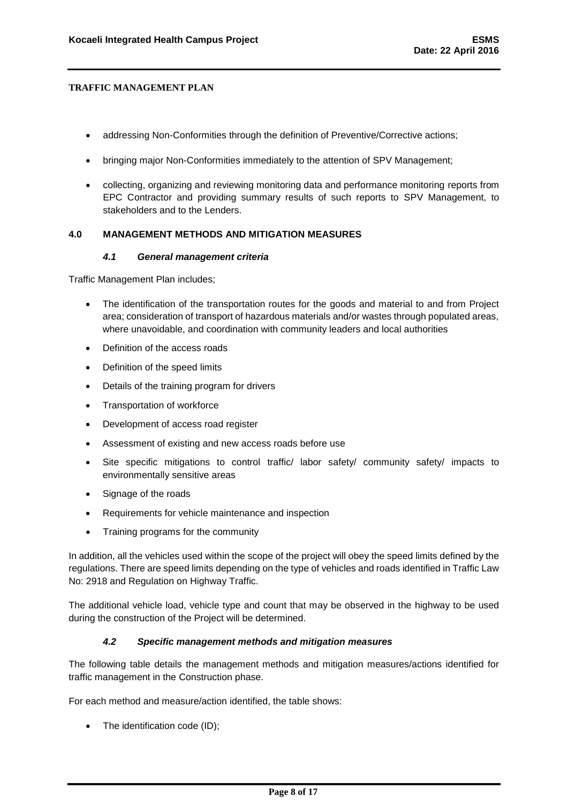- addressing Non-Conformities through the definition of Preventive/Corrective actions;
- bringing major Non-Conformities immediately to the attention of SPV Management;
- collecting, organizing and reviewing monitoring data and performance monitoring reports from EPC Contractor and providing summary results of such reports to SPV Management, to stakeholders and to the Lenders.

#### <span id="page-8-0"></span>**4.0 MANAGEMENT METHODS AND MITIGATION MEASURES**

#### *4.1 General management criteria*

<span id="page-8-1"></span>Traffic Management Plan includes;

- The identification of the transportation routes for the goods and material to and from Project area; consideration of transport of hazardous materials and/or wastes through populated areas, where unavoidable, and coordination with community leaders and local authorities
- Definition of the access roads
- Definition of the speed limits
- Details of the training program for drivers
- Transportation of workforce
- Development of access road register
- Assessment of existing and new access roads before use
- Site specific mitigations to control traffic/ labor safety/ community safety/ impacts to environmentally sensitive areas
- Signage of the roads
- Requirements for vehicle maintenance and inspection
- Training programs for the community

In addition, all the vehicles used within the scope of the project will obey the speed limits defined by the regulations. There are speed limits depending on the type of vehicles and roads identified in Traffic Law No: 2918 and Regulation on Highway Traffic.

The additional vehicle load, vehicle type and count that may be observed in the highway to be used during the construction of the Project will be determined.

### *4.2 Specific management methods and mitigation measures*

<span id="page-8-2"></span>The following table details the management methods and mitigation measures/actions identified for traffic management in the Construction phase.

For each method and measure/action identified, the table shows:

• The identification code (ID);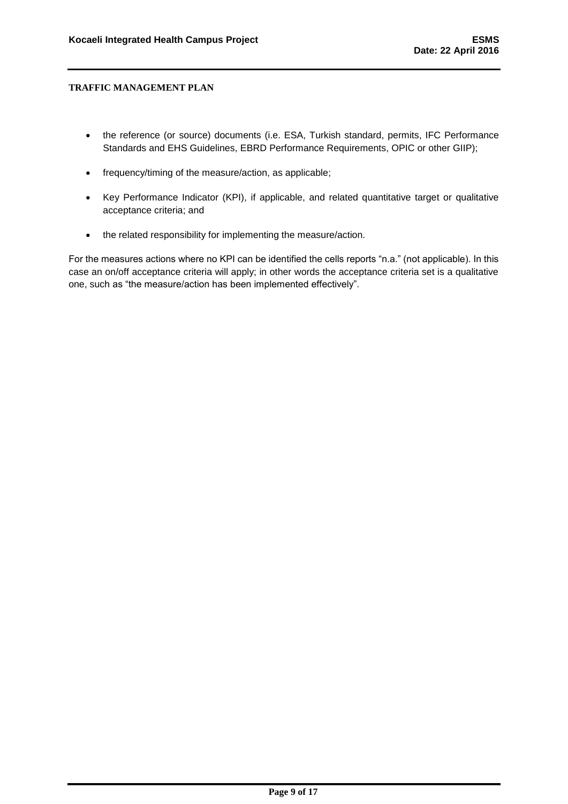- the reference (or source) documents (i.e. ESA, Turkish standard, permits, IFC Performance Standards and EHS Guidelines, EBRD Performance Requirements, OPIC or other GIIP);
- frequency/timing of the measure/action, as applicable;
- Key Performance Indicator (KPI), if applicable, and related quantitative target or qualitative acceptance criteria; and
- the related responsibility for implementing the measure/action.

For the measures actions where no KPI can be identified the cells reports "n.a." (not applicable). In this case an on/off acceptance criteria will apply; in other words the acceptance criteria set is a qualitative one, such as "the measure/action has been implemented effectively".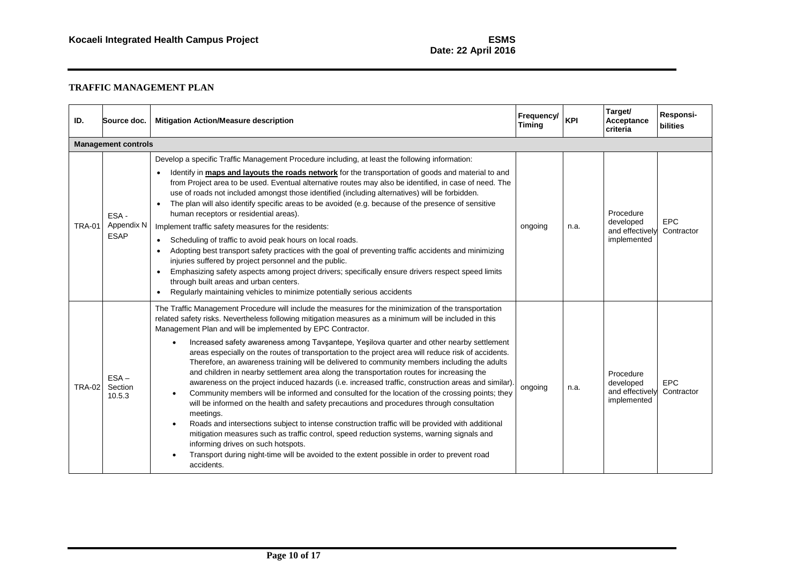| ID.           | Source doc.                       | <b>Mitigation Action/Measure description</b>                                                                                                                                                                                                                                                                                                                                                                                                                                                                                                                                                                                                                                                                                                                                                                                                                                                                                                                                                                                                                                                                                                                                                                                                                                                                                                                                   | Frequency/<br><b>Timing</b> | <b>KPI</b> | Target/<br>Acceptance<br>criteria                        | Responsi-<br><b>bilities</b> |  |  |  |
|---------------|-----------------------------------|--------------------------------------------------------------------------------------------------------------------------------------------------------------------------------------------------------------------------------------------------------------------------------------------------------------------------------------------------------------------------------------------------------------------------------------------------------------------------------------------------------------------------------------------------------------------------------------------------------------------------------------------------------------------------------------------------------------------------------------------------------------------------------------------------------------------------------------------------------------------------------------------------------------------------------------------------------------------------------------------------------------------------------------------------------------------------------------------------------------------------------------------------------------------------------------------------------------------------------------------------------------------------------------------------------------------------------------------------------------------------------|-----------------------------|------------|----------------------------------------------------------|------------------------------|--|--|--|
|               | <b>Management controls</b>        |                                                                                                                                                                                                                                                                                                                                                                                                                                                                                                                                                                                                                                                                                                                                                                                                                                                                                                                                                                                                                                                                                                                                                                                                                                                                                                                                                                                |                             |            |                                                          |                              |  |  |  |
| <b>TRA-01</b> | ESA-<br>Appendix N<br><b>ESAP</b> | Develop a specific Traffic Management Procedure including, at least the following information:<br>Identify in maps and layouts the roads network for the transportation of goods and material to and<br>$\bullet$<br>from Project area to be used. Eventual alternative routes may also be identified, in case of need. The<br>use of roads not included amongst those identified (including alternatives) will be forbidden.<br>The plan will also identify specific areas to be avoided (e.g. because of the presence of sensitive<br>human receptors or residential areas).<br>Implement traffic safety measures for the residents:<br>Scheduling of traffic to avoid peak hours on local roads.<br>$\bullet$<br>Adopting best transport safety practices with the goal of preventing traffic accidents and minimizing<br>$\bullet$<br>injuries suffered by project personnel and the public.<br>Emphasizing safety aspects among project drivers; specifically ensure drivers respect speed limits<br>$\bullet$<br>through built areas and urban centers.<br>Regularly maintaining vehicles to minimize potentially serious accidents<br>$\bullet$                                                                                                                                                                                                                         | ongoing                     | n.a.       | Procedure<br>developed<br>and effectively<br>implemented | <b>EPC</b><br>Contractor     |  |  |  |
| <b>TRA-02</b> | $ESA -$<br>Section<br>10.5.3      | The Traffic Management Procedure will include the measures for the minimization of the transportation<br>related safety risks. Nevertheless following mitigation measures as a minimum will be included in this<br>Management Plan and will be implemented by EPC Contractor.<br>Increased safety awareness among Tavşantepe, Yeşilova quarter and other nearby settlement<br>$\bullet$<br>areas especially on the routes of transportation to the project area will reduce risk of accidents.<br>Therefore, an awareness training will be delivered to community members including the adults<br>and children in nearby settlement area along the transportation routes for increasing the<br>awareness on the project induced hazards (i.e. increased traffic, construction areas and similar).<br>Community members will be informed and consulted for the location of the crossing points; they<br>$\bullet$<br>will be informed on the health and safety precautions and procedures through consultation<br>meetings.<br>Roads and intersections subject to intense construction traffic will be provided with additional<br>mitigation measures such as traffic control, speed reduction systems, warning signals and<br>informing drives on such hotspots.<br>Transport during night-time will be avoided to the extent possible in order to prevent road<br>accidents. | ongoing                     | n.a.       | Procedure<br>developed<br>and effectively<br>implemented | <b>EPC</b><br>Contractor     |  |  |  |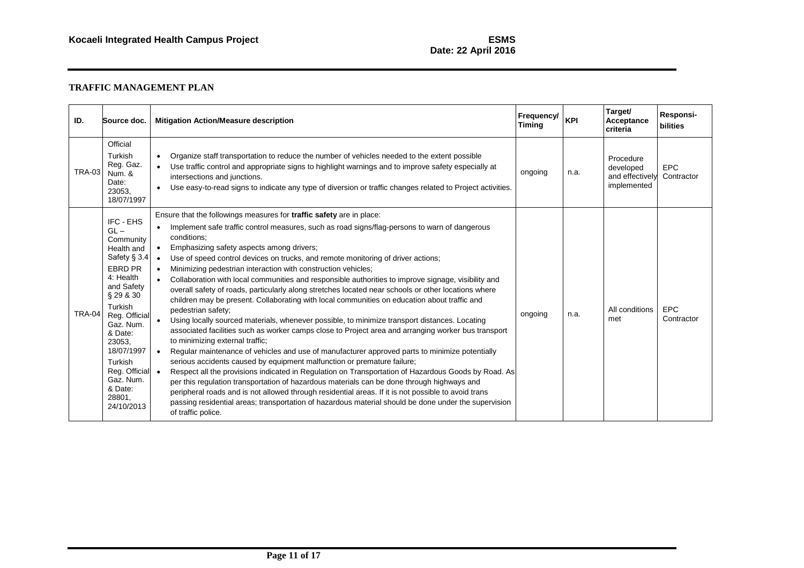| ID.           | Source doc.                                                                                                                                                                                                                                                                 | <b>Mitigation Action/Measure description</b>                                                                                                                                                                                                                                                                                                                                                                                                                                                                                                                                                                                                                                                                                                                                                                                                                                                                                                                                                                                                                                                                                                                                                                                                                                                                                                                                                                                                                                                                                                                                                                                                                               | Frequency/<br><b>Timing</b> | <b>KPI</b> | Target/<br>Acceptance<br>criteria                        | Responsi-<br><b>bilities</b> |
|---------------|-----------------------------------------------------------------------------------------------------------------------------------------------------------------------------------------------------------------------------------------------------------------------------|----------------------------------------------------------------------------------------------------------------------------------------------------------------------------------------------------------------------------------------------------------------------------------------------------------------------------------------------------------------------------------------------------------------------------------------------------------------------------------------------------------------------------------------------------------------------------------------------------------------------------------------------------------------------------------------------------------------------------------------------------------------------------------------------------------------------------------------------------------------------------------------------------------------------------------------------------------------------------------------------------------------------------------------------------------------------------------------------------------------------------------------------------------------------------------------------------------------------------------------------------------------------------------------------------------------------------------------------------------------------------------------------------------------------------------------------------------------------------------------------------------------------------------------------------------------------------------------------------------------------------------------------------------------------------|-----------------------------|------------|----------------------------------------------------------|------------------------------|
| TRA-03        | Official<br>Turkish<br>Reg. Gaz.<br>Num. &<br>Date:<br>23053.<br>18/07/1997                                                                                                                                                                                                 | Organize staff transportation to reduce the number of vehicles needed to the extent possible<br>$\bullet$<br>Use traffic control and appropriate signs to highlight warnings and to improve safety especially at<br>$\bullet$<br>intersections and junctions.<br>Use easy-to-read signs to indicate any type of diversion or traffic changes related to Project activities.<br>$\bullet$                                                                                                                                                                                                                                                                                                                                                                                                                                                                                                                                                                                                                                                                                                                                                                                                                                                                                                                                                                                                                                                                                                                                                                                                                                                                                   | ongoing                     | n.a.       | Procedure<br>developed<br>and effectively<br>implemented | <b>EPC</b><br>Contractor     |
| <b>TRA-04</b> | IFC - EHS<br>$GL -$<br>Community<br>Health and<br>Safety § 3.4<br>EBRD PR<br>4: Health<br>and Safety<br>§ 29 & 30<br>Turkish<br>Reg. Official<br>Gaz. Num.<br>& Date:<br>23053.<br>18/07/1997<br>Turkish<br>Reg. Official •<br>Gaz. Num.<br>& Date:<br>28801,<br>24/10/2013 | Ensure that the followings measures for traffic safety are in place:<br>Implement safe traffic control measures, such as road signs/flag-persons to warn of dangerous<br>$\bullet$<br>conditions:<br>Emphasizing safety aspects among drivers;<br>$\bullet$<br>Use of speed control devices on trucks, and remote monitoring of driver actions;<br>$\bullet$<br>Minimizing pedestrian interaction with construction vehicles;<br>$\bullet$<br>Collaboration with local communities and responsible authorities to improve signage, visibility and<br>$\bullet$<br>overall safety of roads, particularly along stretches located near schools or other locations where<br>children may be present. Collaborating with local communities on education about traffic and<br>pedestrian safety;<br>Using locally sourced materials, whenever possible, to minimize transport distances. Locating<br>associated facilities such as worker camps close to Project area and arranging worker bus transport<br>to minimizing external traffic;<br>Regular maintenance of vehicles and use of manufacturer approved parts to minimize potentially<br>$\bullet$<br>serious accidents caused by equipment malfunction or premature failure;<br>Respect all the provisions indicated in Regulation on Transportation of Hazardous Goods by Road. As<br>per this regulation transportation of hazardous materials can be done through highways and<br>peripheral roads and is not allowed through residential areas. If it is not possible to avoid trans<br>passing residential areas; transportation of hazardous material should be done under the supervision<br>of traffic police. | ongoing                     | n.a.       | All conditions<br>met                                    | <b>EPC</b><br>Contractor     |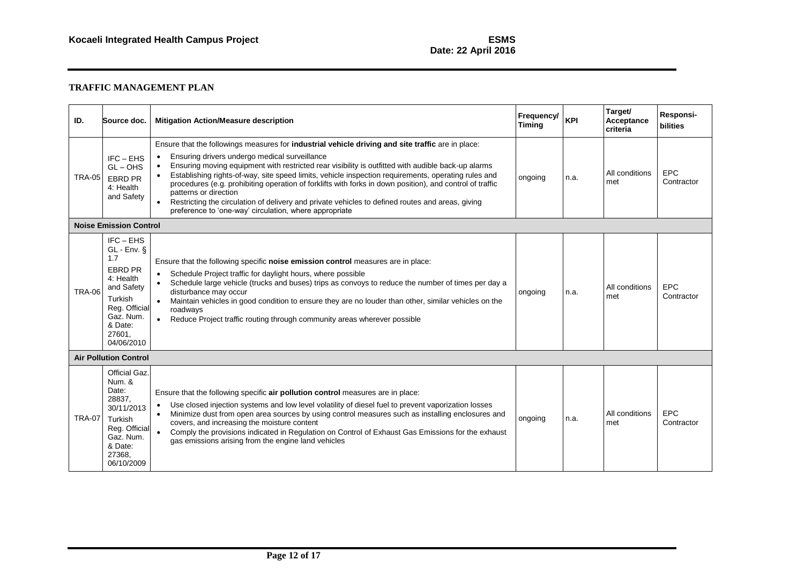| ID.           | Source doc.                                                                                                                                                  | <b>Mitigation Action/Measure description</b>                                                                                                                                                                                                                                                                                                                                                                                                                                                                                                                                                                                                                       | Frequency/<br><b>Timing</b> | <b>KPI</b> | Target/<br>Acceptance<br>criteria | Responsi-<br><b>bilities</b> |
|---------------|--------------------------------------------------------------------------------------------------------------------------------------------------------------|--------------------------------------------------------------------------------------------------------------------------------------------------------------------------------------------------------------------------------------------------------------------------------------------------------------------------------------------------------------------------------------------------------------------------------------------------------------------------------------------------------------------------------------------------------------------------------------------------------------------------------------------------------------------|-----------------------------|------------|-----------------------------------|------------------------------|
| <b>TRA-05</b> | $IFC - EHS$<br>$GL - OHS$<br>EBRD PR<br>4: Health<br>and Safety                                                                                              | Ensure that the followings measures for industrial vehicle driving and site traffic are in place:<br>Ensuring drivers undergo medical surveillance<br>Ensuring moving equipment with restricted rear visibility is outfitted with audible back-up alarms<br>Establishing rights-of-way, site speed limits, vehicle inspection requirements, operating rules and<br>procedures (e.g. prohibiting operation of forklifts with forks in down position), and control of traffic<br>patterns or direction<br>Restricting the circulation of delivery and private vehicles to defined routes and areas, giving<br>preference to 'one-way' circulation, where appropriate | ongoing                     | n.a.       | All conditions<br>met             | <b>EPC</b><br>Contractor     |
|               | <b>Noise Emission Control</b>                                                                                                                                |                                                                                                                                                                                                                                                                                                                                                                                                                                                                                                                                                                                                                                                                    |                             |            |                                   |                              |
| <b>TRA-06</b> | $IFC - EHS$<br>$GL - Env. §$<br>1.7<br><b>EBRD PR</b><br>4: Health<br>and Safety<br>Turkish<br>Reg. Official<br>Gaz. Num.<br>& Date:<br>27601.<br>04/06/2010 | Ensure that the following specific noise emission control measures are in place:<br>Schedule Project traffic for daylight hours, where possible<br>Schedule large vehicle (trucks and buses) trips as convoys to reduce the number of times per day a<br>disturbance may occur<br>Maintain vehicles in good condition to ensure they are no louder than other, similar vehicles on the<br>roadways<br>Reduce Project traffic routing through community areas wherever possible<br>$\bullet$                                                                                                                                                                        | ongoing                     | n.a.       | All conditions<br>met             | <b>EPC</b><br>Contractor     |
|               | <b>Air Pollution Control</b>                                                                                                                                 |                                                                                                                                                                                                                                                                                                                                                                                                                                                                                                                                                                                                                                                                    |                             |            |                                   |                              |
| <b>TRA-07</b> | Official Gaz.<br>Num. &<br>Date:<br>28837,<br>30/11/2013<br>Turkish<br>Reg. Official<br>Gaz. Num.<br>& Date:<br>27368,<br>06/10/2009                         | Ensure that the following specific air pollution control measures are in place:<br>Use closed injection systems and low level volatility of diesel fuel to prevent vaporization losses<br>$\bullet$<br>Minimize dust from open area sources by using control measures such as installing enclosures and<br>covers, and increasing the moisture content<br>Comply the provisions indicated in Regulation on Control of Exhaust Gas Emissions for the exhaust<br>$\bullet$<br>gas emissions arising from the engine land vehicles                                                                                                                                    | ongoing                     | n.a.       | All conditions<br>met             | EPC<br>Contractor            |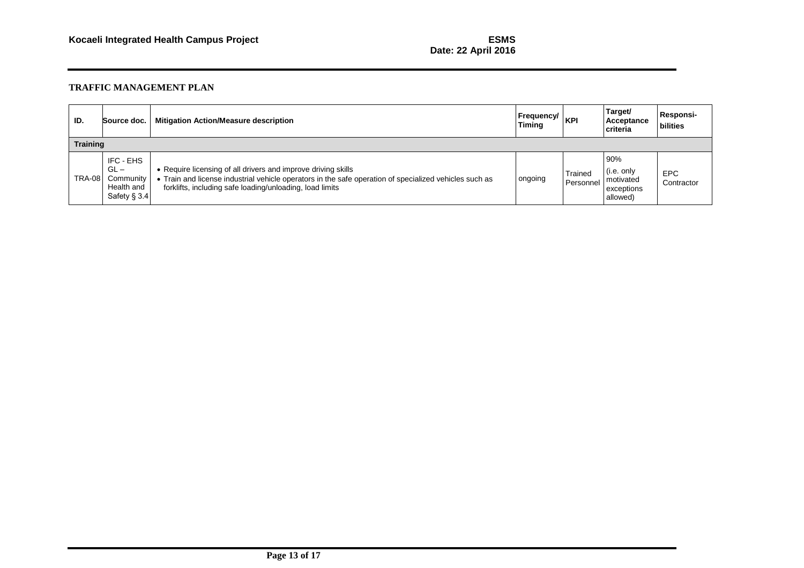# **Date: 22 April 2016**

| ID.             | Source doc.                                                    | <b>Mitigation Action/Measure description</b>                                                                                                                                                                                        | <b>Frequency/</b><br>Timing | <b>KPI</b>                  | Target/<br>Acceptance<br>criteria                        | <b>Responsi-</b><br>bilities |  |  |  |
|-----------------|----------------------------------------------------------------|-------------------------------------------------------------------------------------------------------------------------------------------------------------------------------------------------------------------------------------|-----------------------------|-----------------------------|----------------------------------------------------------|------------------------------|--|--|--|
| <b>Training</b> |                                                                |                                                                                                                                                                                                                                     |                             |                             |                                                          |                              |  |  |  |
| <b>TRA-08</b>   | IFC - EHS<br>$GL -$<br>Community<br>Health and<br>Safety § 3.4 | • Require licensing of all drivers and improve driving skills<br>• Train and license industrial vehicle operators in the safe operation of specialized vehicles such as<br>forklifts, including safe loading/unloading, load limits | ongoing                     | <b>Trained</b><br>Personnel | 90%<br>(i.e. only<br>motivated<br>exceptions<br>allowed) | <b>EPC</b><br>Contractor     |  |  |  |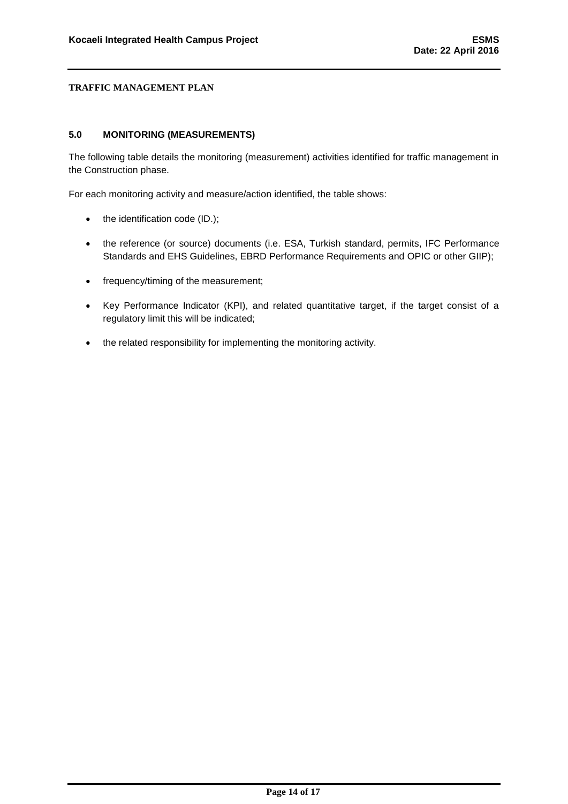#### <span id="page-14-0"></span>**5.0 MONITORING (MEASUREMENTS)**

The following table details the monitoring (measurement) activities identified for traffic management in the Construction phase.

For each monitoring activity and measure/action identified, the table shows:

- $\bullet$  the identification code (ID.);
- the reference (or source) documents (i.e. ESA, Turkish standard, permits, IFC Performance Standards and EHS Guidelines, EBRD Performance Requirements and OPIC or other GIIP);
- frequency/timing of the measurement;
- Key Performance Indicator (KPI), and related quantitative target, if the target consist of a regulatory limit this will be indicated;
- the related responsibility for implementing the monitoring activity.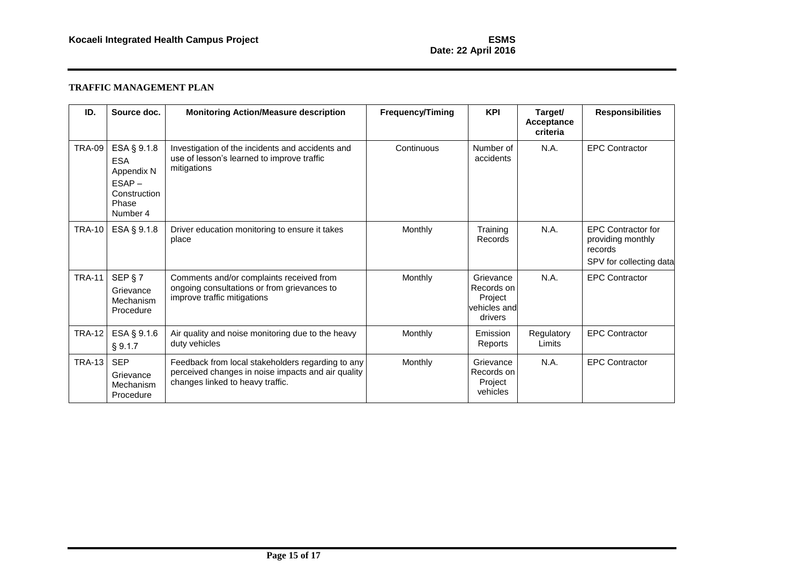# **Date: 22 April 2016**

| ID.           | Source doc.                                                                              | <b>Monitoring Action/Measure description</b>                                                                                                | <b>Frequency/Timing</b> | <b>KPI</b>                                                    | Target/<br>Acceptance<br>criteria | <b>Responsibilities</b>                                                              |
|---------------|------------------------------------------------------------------------------------------|---------------------------------------------------------------------------------------------------------------------------------------------|-------------------------|---------------------------------------------------------------|-----------------------------------|--------------------------------------------------------------------------------------|
| <b>TRA-09</b> | ESA § 9.1.8<br><b>ESA</b><br>Appendix N<br>$ESAP -$<br>Construction<br>Phase<br>Number 4 | Investigation of the incidents and accidents and<br>use of lesson's learned to improve traffic<br>mitigations                               | Continuous              | Number of<br>accidents                                        | N.A.                              | <b>EPC Contractor</b>                                                                |
| <b>TRA-10</b> | ESA § 9.1.8                                                                              | Driver education monitoring to ensure it takes<br>place                                                                                     | Monthly                 | Training<br>Records                                           | N.A.                              | <b>EPC Contractor for</b><br>providing monthly<br>records<br>SPV for collecting data |
| <b>TRA-11</b> | SEP § 7<br>Grievance<br>Mechanism<br>Procedure                                           | Comments and/or complaints received from<br>ongoing consultations or from grievances to<br>improve traffic mitigations                      | Monthly                 | Grievance<br>Records on<br>Project<br>vehicles and<br>drivers | N.A.                              | <b>EPC Contractor</b>                                                                |
| <b>TRA-12</b> | ESA § 9.1.6<br>§ 9.1.7                                                                   | Air quality and noise monitoring due to the heavy<br>duty vehicles                                                                          | Monthly                 | Emission<br>Reports                                           | Regulatory<br>Limits              | <b>EPC Contractor</b>                                                                |
| <b>TRA-13</b> | <b>SEP</b><br>Grievance<br>Mechanism<br>Procedure                                        | Feedback from local stakeholders regarding to any<br>perceived changes in noise impacts and air quality<br>changes linked to heavy traffic. | Monthly                 | Grievance<br>Records on<br>Project<br>vehicles                | N.A.                              | <b>EPC Contractor</b>                                                                |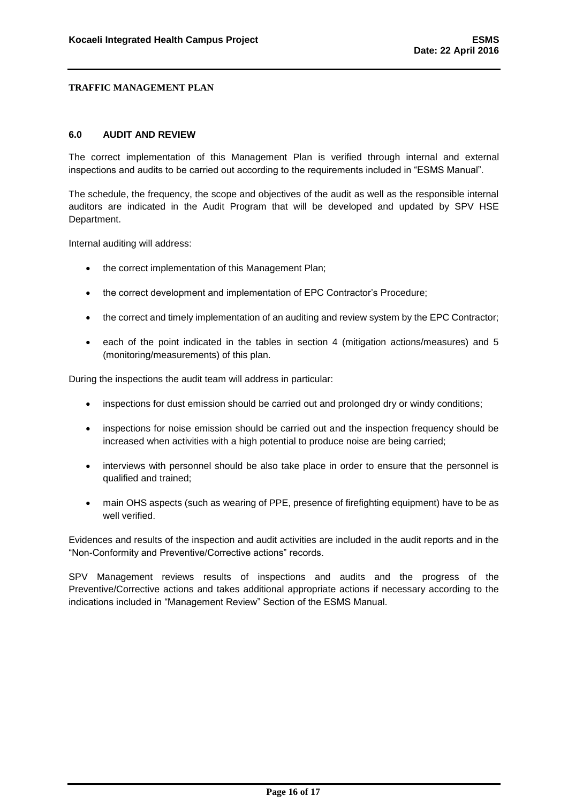#### <span id="page-16-0"></span>**6.0 AUDIT AND REVIEW**

The correct implementation of this Management Plan is verified through internal and external inspections and audits to be carried out according to the requirements included in "ESMS Manual".

The schedule, the frequency, the scope and objectives of the audit as well as the responsible internal auditors are indicated in the Audit Program that will be developed and updated by SPV HSE Department.

Internal auditing will address:

- the correct implementation of this Management Plan;
- the correct development and implementation of EPC Contractor's Procedure;
- the correct and timely implementation of an auditing and review system by the EPC Contractor;
- each of the point indicated in the tables in section 4 (mitigation actions/measures) and 5 (monitoring/measurements) of this plan.

During the inspections the audit team will address in particular:

- inspections for dust emission should be carried out and prolonged dry or windy conditions;
- inspections for noise emission should be carried out and the inspection frequency should be increased when activities with a high potential to produce noise are being carried;
- interviews with personnel should be also take place in order to ensure that the personnel is qualified and trained;
- main OHS aspects (such as wearing of PPE, presence of firefighting equipment) have to be as well verified.

Evidences and results of the inspection and audit activities are included in the audit reports and in the "Non-Conformity and Preventive/Corrective actions" records.

SPV Management reviews results of inspections and audits and the progress of the Preventive/Corrective actions and takes additional appropriate actions if necessary according to the indications included in "Management Review" Section of the ESMS Manual.